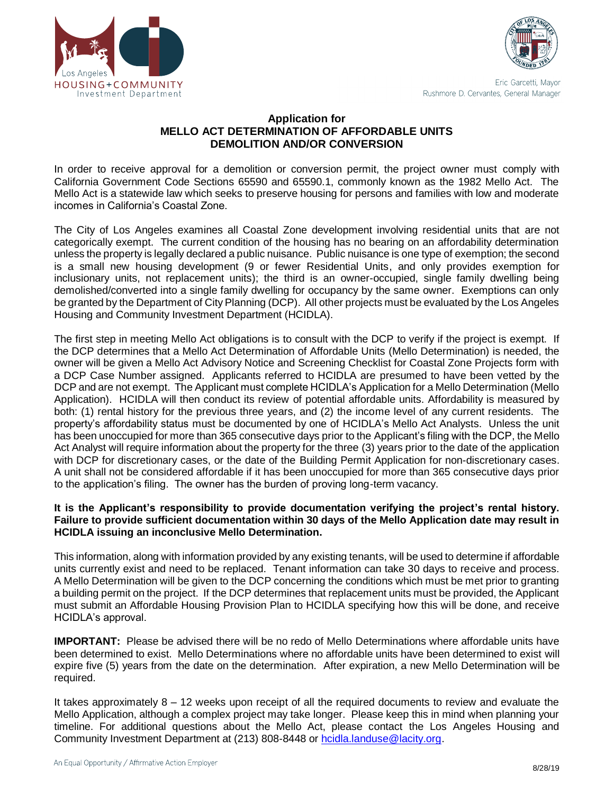



Eric Garcetti, Mayor Rushmore D. Cervantes, General Manager

#### **Application for MELLO ACT DETERMINATION OF AFFORDABLE UNITS DEMOLITION AND/OR CONVERSION**

 In order to receive approval for a demolition or conversion permit, the project owner must comply with California Government Code Sections 65590 and 65590.1, commonly known as the 1982 Mello Act. The Mello Act is a statewide law which seeks to preserve housing for persons and families with low and moderate incomes in California's Coastal Zone.

 The City of Los Angeles examines all Coastal Zone development involving residential units that are not categorically exempt. The current condition of the housing has no bearing on an affordability determination unless the property is legally declared a public nuisance. Public nuisance is one type of exemption; the second is a small new housing development (9 or fewer Residential Units, and only provides exemption for inclusionary units, not replacement units); the third is an owner-occupied, single family dwelling being demolished/converted into a single family dwelling for occupancy by the same owner. Exemptions can only be granted by the Department of City Planning (DCP). All other projects must be evaluated by the Los Angeles Housing and Community Investment Department (HCIDLA).

 The first step in meeting Mello Act obligations is to consult with the DCP to verify if the project is exempt. If the DCP determines that a Mello Act Determination of Affordable Units (Mello Determination) is needed, the owner will be given a Mello Act Advisory Notice and Screening Checklist for Coastal Zone Projects form with a DCP Case Number assigned. Applicants referred to HCIDLA are presumed to have been vetted by the DCP and are not exempt. The Applicant must complete HCIDLA's Application for a Mello Determination (Mello Application). HCIDLA will then conduct its review of potential affordable units. Affordability is measured by both: (1) rental history for the previous three years, and (2) the income level of any current residents. The property's affordability status must be documented by one of HCIDLA's Mello Act Analysts. Unless the unit has been unoccupied for more than 365 consecutive days prior to the Applicant's filing with the DCP, the Mello Act Analyst will require information about the property for the three (3) years prior to the date of the application with DCP for discretionary cases, or the date of the Building Permit Application for non-discretionary cases. A unit shall not be considered affordable if it has been unoccupied for more than 365 consecutive days prior to the application's filing. The owner has the burden of proving long-term vacancy.

#### **It is the Applicant's responsibility to provide documentation verifying the project's rental history. Failure to provide sufficient documentation within 30 days of the Mello Application date may result in HCIDLA issuing an inconclusive Mello Determination.**

 This information, along with information provided by any existing tenants, will be used to determine if affordable units currently exist and need to be replaced. Tenant information can take 30 days to receive and process. A Mello Determination will be given to the DCP concerning the conditions which must be met prior to granting a building permit on the project. If the DCP determines that replacement units must be provided, the Applicant must submit an Affordable Housing Provision Plan to HCIDLA specifying how this will be done, and receive HCIDLA's approval.

 **IMPORTANT:** Please be advised there will be no redo of Mello Determinations where affordable units have been determined to exist. Mello Determinations where no affordable units have been determined to exist will expire five (5) years from the date on the determination. After expiration, a new Mello Determination will be required.

 It takes approximately 8 – 12 weeks upon receipt of all the required documents to review and evaluate the Mello Application, although a complex project may take longer. Please keep this in mind when planning your timeline. For additional questions about the Mello Act, please contact the Los Angeles Housing and Community Investment Department at (213) 808-8448 or [hcidla.landuse@lacity.org.](mailto:hcidla.landuse@lacity.org)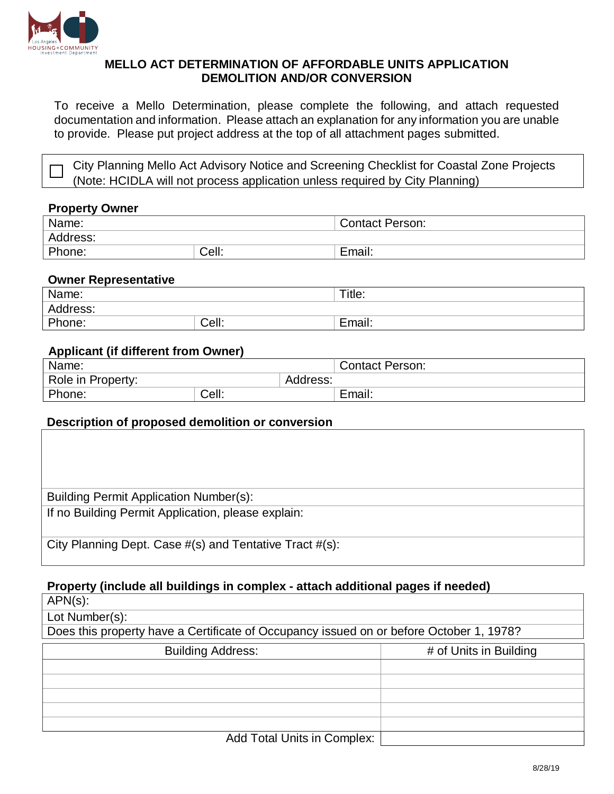

#### **MELLO ACT DETERMINATION OF AFFORDABLE UNITS APPLICATION DEMOLITION AND/OR CONVERSION**

 documentation and information. Please attach an explanation for any information you are unable To receive a Mello Determination, please complete the following, and attach requested to provide. Please put project address at the top of all attachment pages submitted.

City Planning Mello Act Advisory Notice and Screening Checklist for Coastal Zone Projects (Note: HCIDLA will not process application unless required by City Planning)

#### **Property Owner**

| Name:    |       | <b>Contact Person:</b> |
|----------|-------|------------------------|
| Address: |       |                        |
| Phone:   | Cell: | Email.                 |

#### **Owner Representative**

| Name:    |       | Title: |
|----------|-------|--------|
| Address: |       |        |
| Phone:   | Cell: | Email: |

## **Applicant (if different from Owner)**

| Name:             |       | <b>Contact Person:</b> |        |
|-------------------|-------|------------------------|--------|
| Role in Property: |       | Address:               |        |
| Phone:            | Cell: |                        | Email: |

### **Description of proposed demolition or conversion**

| <b>Building Permit Application Number(s):</b>           |
|---------------------------------------------------------|
| If no Building Permit Application, please explain:      |
|                                                         |
| City Planning Dept. Case #(s) and Tentative Tract #(s): |

### **Property (include all buildings in complex - attach additional pages if needed)**

APN(s): Lot Number(s): Does this property have a Certificate of Occupancy issued on or before October 1, 1978? Building Address: # of Units in Building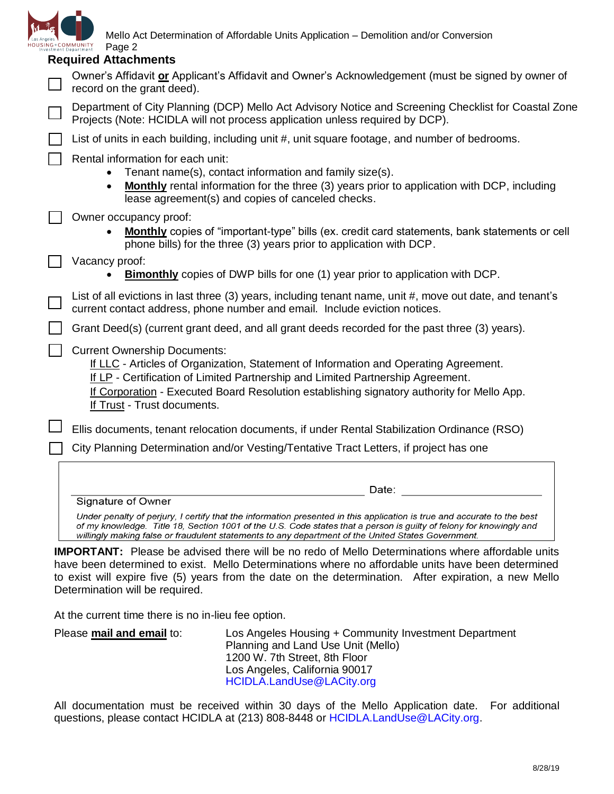

Mello Act Determination of Affordable Units Application – Demolition and/or Conversion

| HOUSING+COMMUNITY<br>Investment Department | Page 2<br><b>Required Attachments</b>                                                                                                                                                                                                                                                                                                                      |
|--------------------------------------------|------------------------------------------------------------------------------------------------------------------------------------------------------------------------------------------------------------------------------------------------------------------------------------------------------------------------------------------------------------|
|                                            | Owner's Affidavit or Applicant's Affidavit and Owner's Acknowledgement (must be signed by owner of<br>record on the grant deed).                                                                                                                                                                                                                           |
|                                            | Department of City Planning (DCP) Mello Act Advisory Notice and Screening Checklist for Coastal Zone<br>Projects (Note: HCIDLA will not process application unless required by DCP).                                                                                                                                                                       |
|                                            | List of units in each building, including unit #, unit square footage, and number of bedrooms.                                                                                                                                                                                                                                                             |
|                                            | Rental information for each unit:<br>Tenant name(s), contact information and family size(s).<br><b>Monthly</b> rental information for the three (3) years prior to application with DCP, including<br>lease agreement(s) and copies of canceled checks.                                                                                                    |
|                                            | Owner occupancy proof:<br><b>Monthly</b> copies of "important-type" bills (ex. credit card statements, bank statements or cell<br>phone bills) for the three (3) years prior to application with DCP.                                                                                                                                                      |
|                                            | Vacancy proof:<br><b>Bimonthly</b> copies of DWP bills for one (1) year prior to application with DCP.                                                                                                                                                                                                                                                     |
|                                            | List of all evictions in last three (3) years, including tenant name, unit #, move out date, and tenant's<br>current contact address, phone number and email. Include eviction notices.                                                                                                                                                                    |
|                                            | Grant Deed(s) (current grant deed, and all grant deeds recorded for the past three (3) years).                                                                                                                                                                                                                                                             |
|                                            | <b>Current Ownership Documents:</b><br>If LLC - Articles of Organization, Statement of Information and Operating Agreement.<br>If LP - Certification of Limited Partnership and Limited Partnership Agreement.<br>If Corporation - Executed Board Resolution establishing signatory authority for Mello App.<br>If Trust - Trust documents.                |
|                                            | Ellis documents, tenant relocation documents, if under Rental Stabilization Ordinance (RSO)                                                                                                                                                                                                                                                                |
|                                            | City Planning Determination and/or Vesting/Tentative Tract Letters, if project has one                                                                                                                                                                                                                                                                     |
|                                            |                                                                                                                                                                                                                                                                                                                                                            |
|                                            | Date:<br>Signature of Owner                                                                                                                                                                                                                                                                                                                                |
|                                            | Under penalty of perjury, I certify that the information presented in this application is true and accurate to the best<br>of my knowledge. Title 18, Section 1001 of the U.S. Code states that a person is guilty of felony for knowingly and<br>willingly making false or fraudulent statements to any department of the United States Government.       |
|                                            | <b>IMPORTANT:</b> Please be advised there will be no redo of Mello Determinations where affordable units<br>have been determined to exist. Mello Determinations where no affordable units have been determined<br>to exist will expire five (5) years from the date on the determination. After expiration, a new Mello<br>Determination will be required. |
|                                            | At the current time there is no in-lieu fee option.                                                                                                                                                                                                                                                                                                        |

Please **mail and email** to: Los Angeles Housing + Community Investment Department Planning and Land Use Unit (Mello) 1200 W. 7th Street, 8th Floor Los Angeles, California 90017 [HCIDLA.LandUse@LACity.org](mailto:HCIDLA.LandUse@LACity.org)

 All documentation must be received within 30 days of the Mello Application date. For additional questions, please contact HCIDLA at (213) 808-8448 or [HCIDLA.LandUse@LACity.org](mailto:HCIDLA.LandUse@LACity.org).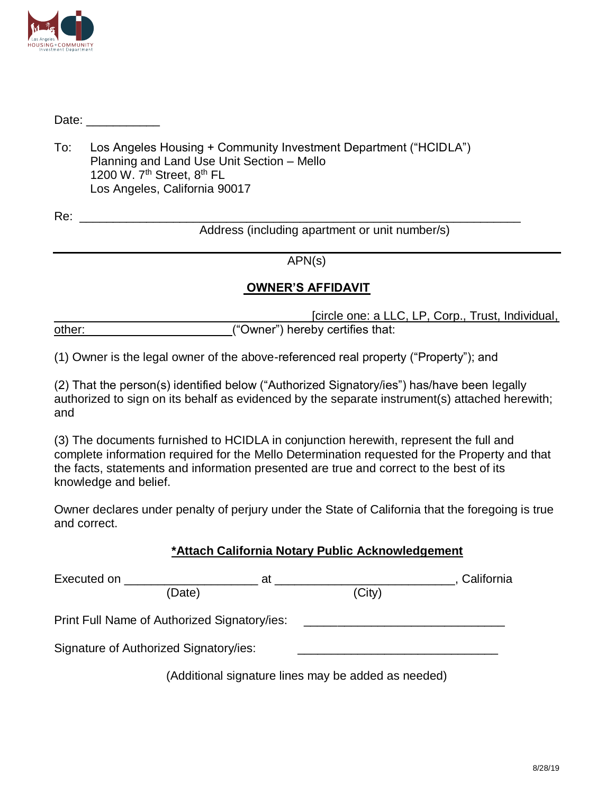

Date:  $\Box$ 

To: Los Angeles Housing + Community Investment Department ("HCIDLA") Planning and Land Use Unit Section – Mello 1200 W. 7<sup>th</sup> Street, 8<sup>th</sup> FL Los Angeles, California 90017

 $\frac{1}{2}$  , and the contribution of the contribution of the contribution of the contribution of the contribution of the contribution of the contribution of the contribution of the contribution of the contribution of the c

Address (including apartment or unit number/s)

APN(s)

# **OWNER'S AFFIDAVIT**

l [circle one: a LLC, LP, Corp., Trust, Individual, other:  $($ "Owner") hereby certifies that:

(1) Owner is the legal owner of the above-referenced real property ("Property"); and

(2) That the person(s) identified below ("Authorized Signatory/ies") has/have been legally authorized to sign on its behalf as evidenced by the separate instrument(s) attached herewith; and

(3) The documents furnished to HCIDLA in conjunction herewith, represent the full and complete information required for the Mello Determination requested for the Property and that the facts, statements and information presented are true and correct to the best of its knowledge and belief.

Owner declares under penalty of perjury under the State of California that the foregoing is true and correct.

### **\*Attach California Notary Public Acknowledgement**

| Executed on <b>Executed</b> on<br>at         | California                                          |  |  |
|----------------------------------------------|-----------------------------------------------------|--|--|
| (Date)                                       | (City)                                              |  |  |
| Print Full Name of Authorized Signatory/ies: |                                                     |  |  |
| Signature of Authorized Signatory/ies:       |                                                     |  |  |
|                                              | (Additional signature lines may be added as needed) |  |  |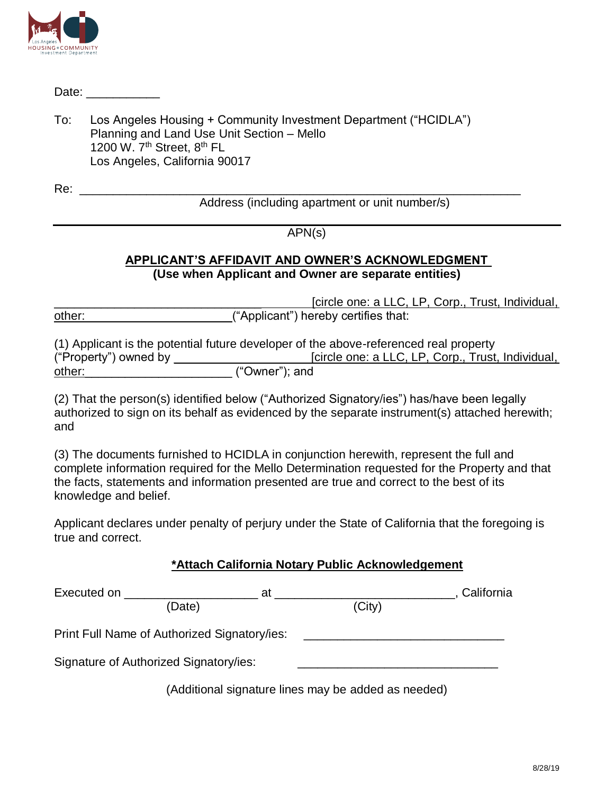

Date: \_\_\_\_\_\_\_\_\_\_\_\_<br>To: Los Angeles Housing + Community Investment Department ("HCIDLA") Planning and Land Use Unit Section – Mello 1200 W. 7<sup>th</sup> Street, 8<sup>th</sup> FL Los Angeles, California 90017

Re:

Address (including apartment or unit number/s)

# APN(s)

\_\_\_\_\_\_\_\_\_\_\_\_\_\_\_\_\_\_\_\_\_\_\_\_\_\_\_\_\_\_\_\_\_\_\_\_\_\_\_\_\_\_\_\_\_\_\_\_\_\_\_\_\_\_\_\_\_\_\_\_\_\_\_\_\_\_

# **APPLICANT'S AFFIDAVIT AND OWNER'S ACKNOWLEDGMENT (Use when Applicant and Owner are separate entities)**

 $\overline{a}$ [circle one: a LLC, LP, Corp., Trust, Individual, other:\_\_\_\_\_\_\_\_\_\_\_\_\_\_\_\_\_\_\_\_\_\_("Applicant") hereby certifies that:

(1) Applicant is the potential future developer of the above-referenced real property ("Property") owned by \_\_\_ \_\_\_\_\_\_\_\_\_\_\_\_\_\_\_\_\_[circle one: a LLC, LP, Corp., Trust, Individual, other:  $($ "Owner"); and

(2) That the person(s) identified below ("Authorized Signatory/ies") has/have been legally authorized to sign on its behalf as evidenced by the separate instrument(s) attached herewith; and

 knowledge and belief. (3) The documents furnished to HCIDLA in conjunction herewith, represent the full and complete information required for the Mello Determination requested for the Property and that the facts, statements and information presented are true and correct to the best of its

Applicant declares under penalty of perjury under the State of California that the foregoing is true and correct.

| Executed on<br>at                                   |        | California |  |  |
|-----------------------------------------------------|--------|------------|--|--|
| (Date)                                              | (City) |            |  |  |
| Print Full Name of Authorized Signatory/ies:        |        |            |  |  |
| Signature of Authorized Signatory/ies:              |        |            |  |  |
| (Additional signature lines may be added as needed) |        |            |  |  |